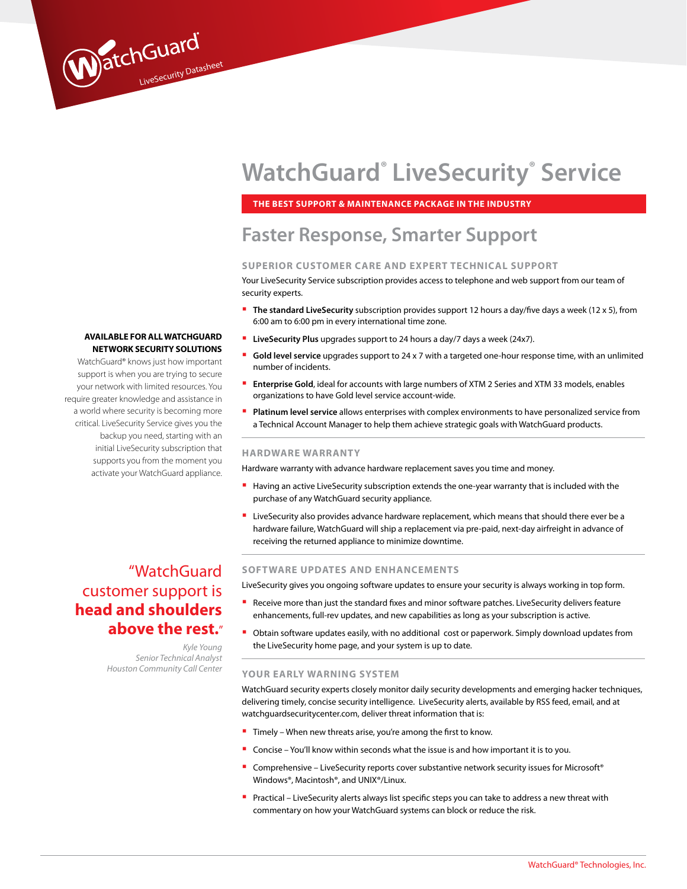# **WatchGuard® LiveSecurity® Service**

**the Best Support & Maintenance Package in the Industry**

# **Faster Response, Smarter Support**

# **SUPERIOR CUSTOMER CARE AND EXPERT TECHNICA L SUPPORT**

Your LiveSecurity Service subscription provides access to telephone and web support from our team of security experts.

- **The standard LiveSecurity** subscription provides support 12 hours a day/five days a week (12 x 5), from 6:00 am to 6:00 pm in every international time zone.
- **LiveSecurity Plus** upgrades support to 24 hours a day/7 days a week (24x7).
- **Gold level service** upgrades support to 24 x 7 with a targeted one-hour response time, with an unlimited number of incidents.
- **Enterprise Gold**, ideal for accounts with large numbers of XTM 2 Series and XTM 33 models, enables organizations to have Gold level service account-wide.
- **Platinum level service** allows enterprises with complex environments to have personalized service from a Technical Account Manager to help them achieve strategic goals with WatchGuard products.

#### **HARDWARE WARRANTY**

Hardware warranty with advance hardware replacement saves you time and money.

- **Having an active LiveSecurity subscription extends the one-year warranty that is included with the** purchase of any WatchGuard security appliance.
- **E** LiveSecurity also provides advance hardware replacement, which means that should there ever be a hardware failure, WatchGuard will ship a replacement via pre-paid, next-day airfreight in advance of receiving the returned appliance to minimize downtime.

# "WatchGuard customer support is **head and shoulders above the rest.**"

**AVAILABLE FOR ALL WATCHGUARD Network security SOLUTIONS** WatchGuard® knows just how important support is when you are trying to secure your network with limited resources. You require greater knowledge and assistance in a world where security is becoming more critical. LiveSecurity Service gives you the backup you need, starting with an initial LiveSecurity subscription that supports you from the moment you activate your WatchGuard appliance.

WatchGuard

*Kyle Young Senior Technical Analyst Houston Community Call Center*

# **SOFTWARE UPDATES AND ENHANCEMENTS**

LiveSecurity gives you ongoing software updates to ensure your security is always working in top form.

- **Receive more than just the standard fixes and minor software patches. LiveSecurity delivers feature** enhancements, full-rev updates, and new capabilities as long as your subscription is active.
- **Obtain software updates easily, with no additional cost or paperwork. Simply download updates from** the LiveSecurity home page, and your system is up to date.

#### **YOUR EARLY WARNING SYSTEM**

WatchGuard security experts closely monitor daily security developments and emerging hacker techniques, delivering timely, concise security intelligence. LiveSecurity alerts, available by RSS feed, email, and at watchguardsecuritycenter.com, deliver threat information that is:

- **Timely When new threats arise, you're among the first to know.**
- Concise You'll know within seconds what the issue is and how important it is to you.
- Comprehensive LiveSecurity reports cover substantive network security issues for Microsoft<sup>®</sup> Windows®, Macintosh®, and UNIX®/Linux.
- **Practical LiveSecurity alerts always list specific steps you can take to address a new threat with** commentary on how your WatchGuard systems can block or reduce the risk.